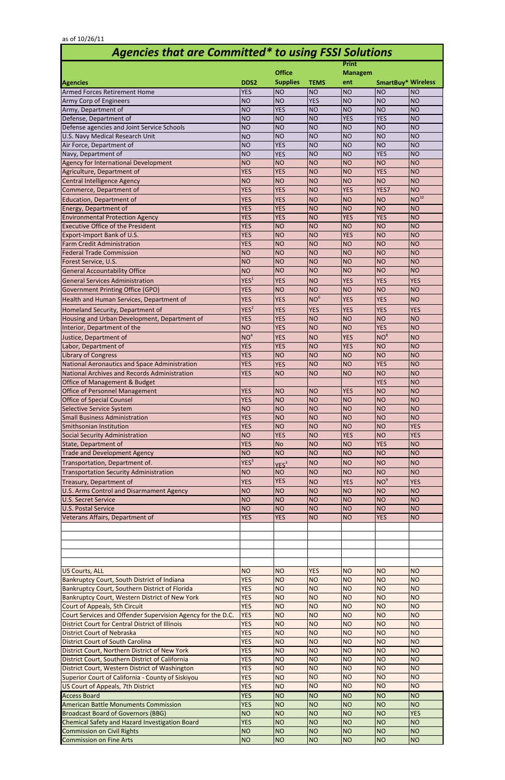|                                                                                        |                          | <b>Print</b>                      |                          |                                  |                                             |                                   |
|----------------------------------------------------------------------------------------|--------------------------|-----------------------------------|--------------------------|----------------------------------|---------------------------------------------|-----------------------------------|
|                                                                                        |                          | <b>Office</b><br><b>Managem</b>   |                          |                                  |                                             |                                   |
| <b>Agencies</b><br><b>Armed Forces Retirement Home</b>                                 | DDS2<br><b>YES</b>       | <b>Supplies</b><br>N <sub>O</sub> | <b>TEMS</b><br><b>NO</b> | ent<br>NO                        | <b>SmartBuy* Wireless</b><br>N <sub>O</sub> | N <sub>O</sub>                    |
| Army Corp of Engineers                                                                 | <b>NO</b>                | <b>NO</b>                         | <b>YES</b>               | N <sub>O</sub>                   | <b>NO</b>                                   | <b>NO</b>                         |
| Army, Department of                                                                    | <b>NO</b>                | <b>YES</b>                        | <b>NO</b>                | <b>NO</b>                        | <b>NO</b>                                   | N <sub>O</sub>                    |
| Defense, Department of                                                                 | <b>NO</b>                | <b>NO</b>                         | <b>NO</b>                | <b>YES</b>                       | <b>YES</b>                                  | N <sub>O</sub>                    |
| Defense agencies and Joint Service Schools                                             | <b>NO</b>                | <b>NO</b>                         | <b>NO</b>                | N <sub>O</sub>                   | <b>NO</b>                                   | N <sub>O</sub>                    |
| U.S. Navy Medical Research Unit                                                        | <b>NO</b>                | <b>NO</b>                         | <b>NO</b>                | NO                               | <b>NO</b>                                   | N <sub>O</sub>                    |
| Air Force, Department of                                                               | <b>NO</b>                | <b>YES</b>                        | <b>NO</b>                | N <sub>O</sub>                   | <b>NO</b>                                   | N <sub>O</sub>                    |
| Navy, Department of                                                                    | <b>NO</b>                | <b>YES</b>                        | <b>NO</b>                | NO                               | <b>YES</b>                                  | <b>NO</b>                         |
| Agency for International Development                                                   | <b>NO</b>                | <b>NO</b>                         | <b>NO</b>                | NO                               | <b>NO</b>                                   | <b>NO</b>                         |
| Agriculture, Department of<br>Central Intelligence Agency                              | <b>YES</b><br><b>NO</b>  | <b>YES</b><br><b>NO</b>           | <b>NO</b><br><b>NO</b>   | N <sub>O</sub><br>N <sub>O</sub> | <b>YES</b><br><b>NO</b>                     | <b>NO</b><br>N <sub>O</sub>       |
| Commerce, Department of                                                                | <b>YES</b>               | <b>YES</b>                        | <b>NO</b>                | <b>YES</b>                       | YES7                                        | <b>NO</b>                         |
| Education, Department of                                                               | <b>YES</b>               | <b>YES</b>                        | <b>NO</b>                | <b>NO</b>                        | <b>NO</b>                                   | $NO^{10}$                         |
| <b>Energy, Department of</b>                                                           | <b>YES</b>               | <b>YES</b>                        | <b>NO</b>                | NO                               | <b>NO</b>                                   | <b>NO</b>                         |
| <b>Environmental Protection Agency</b>                                                 | <b>YES</b>               | <b>YES</b>                        | <b>NO</b>                | <b>YES</b>                       | <b>YES</b>                                  | <b>NO</b>                         |
| <b>Executive Office of the President</b>                                               | <b>YES</b>               | <b>NO</b>                         | <b>NO</b>                | <b>NO</b>                        | <b>NO</b>                                   | N <sub>O</sub>                    |
| Export-Import Bank of U.S.                                                             | <b>YES</b>               | <b>NO</b>                         | <b>NO</b>                | <b>YES</b>                       | <b>NO</b>                                   | N <sub>O</sub>                    |
| <b>Farm Credit Administration</b>                                                      | <b>YES</b>               | <b>NO</b>                         | <b>NO</b>                | N <sub>O</sub>                   | <b>NO</b>                                   | N <sub>O</sub>                    |
| <b>Federal Trade Commission</b>                                                        | <b>NO</b>                | <b>NO</b>                         | <b>NO</b>                | N <sub>O</sub>                   | <b>NO</b>                                   | <b>NO</b>                         |
| Forest Service, U.S.                                                                   | <b>NO</b>                | <b>NO</b>                         | <b>NO</b>                | N <sub>O</sub>                   | <b>NO</b>                                   | <b>NO</b>                         |
| <b>General Accountability Office</b>                                                   | <b>NO</b>                | <b>NO</b>                         | <b>NO</b>                | <b>NO</b>                        | <b>NO</b>                                   | <b>NO</b>                         |
| <b>General Services Administration</b>                                                 | YES <sup>1</sup>         | <b>YES</b>                        | <b>NO</b>                | <b>YES</b>                       | <b>YES</b>                                  | <b>YES</b>                        |
| <b>Government Printing Office (GPO)</b>                                                | <b>YES</b>               | <b>NO</b>                         | <b>NO</b>                | <b>NO</b>                        | <b>NO</b>                                   | <b>NO</b>                         |
| Health and Human Services, Department of                                               | <b>YES</b>               | <b>YES</b>                        | NO <sup>6</sup>          | <b>YES</b>                       | <b>YES</b>                                  | <b>NO</b>                         |
| Homeland Security, Department of                                                       | YES <sup>2</sup>         | <b>YES</b>                        | <b>YES</b>               | <b>YES</b>                       | <b>YES</b>                                  | <b>YES</b>                        |
| Housing and Urban Development, Department of                                           | <b>YES</b>               | <b>YES</b>                        | <b>NO</b>                | N <sub>O</sub>                   | <b>NO</b>                                   | <b>NO</b>                         |
| Interior, Department of the                                                            | <b>NO</b>                | <b>YES</b>                        | <b>NO</b>                | NO                               | <b>YES</b>                                  | N <sub>O</sub>                    |
| Justice, Department of                                                                 | NO <sup>4</sup>          | <b>YES</b>                        | <b>NO</b>                | <b>YES</b>                       | NO <sup>8</sup>                             | N <sub>O</sub>                    |
| Labor, Department of<br>Library of Congress                                            | <b>YES</b><br><b>YES</b> | <b>YES</b><br><b>NO</b>           | <b>NO</b><br><b>NO</b>   | <b>YES</b><br><b>NO</b>          | NO<br><b>NO</b>                             | <b>NO</b><br><b>NO</b>            |
| National Aeronautics and Space Administration                                          | <b>YES</b>               | <b>YES</b>                        | <b>NO</b>                | N <sub>O</sub>                   | <b>YES</b>                                  | <b>NO</b>                         |
| National Archives and Records Administration                                           | <b>YES</b>               | <b>NO</b>                         | <b>NO</b>                | NO                               | <b>NO</b>                                   | <b>NO</b>                         |
| Office of Management & Budget                                                          |                          |                                   |                          |                                  | <b>YES</b>                                  | <b>NO</b>                         |
| Office of Personnel Management                                                         | <b>YES</b>               | <b>NO</b>                         | <b>NO</b>                | <b>YES</b>                       | <b>NO</b>                                   | <b>NO</b>                         |
| <b>Office of Special Counsel</b>                                                       | <b>YES</b>               | <b>NO</b>                         | <b>NO</b>                | N <sub>O</sub>                   | <b>NO</b>                                   | <b>NO</b>                         |
| <b>Selective Service System</b>                                                        | <b>NO</b>                | <b>NO</b>                         | <b>NO</b>                | N <sub>O</sub>                   | <b>NO</b>                                   | <b>NO</b>                         |
| <b>Small Business Administration</b>                                                   | <b>YES</b>               | <b>NO</b>                         | <b>NO</b>                | N <sub>O</sub>                   | <b>NO</b>                                   | <b>NO</b>                         |
| Smithsonian Institution                                                                | <b>YES</b>               | <b>NO</b>                         | <b>NO</b>                | N <sub>O</sub>                   | <b>NO</b>                                   | <b>YES</b>                        |
| Social Security Administration                                                         | <b>NO</b>                | <b>YES</b>                        | <b>NO</b>                | <b>YES</b>                       | <b>NO</b>                                   | <b>YES</b>                        |
| State, Department of                                                                   | <b>YES</b><br><b>NO</b>  | <b>No</b>                         | <b>NO</b><br><b>NO</b>   | N <sub>O</sub><br>N <sub>O</sub> | <b>YES</b>                                  | <b>NO</b><br><b>NO</b>            |
| <b>Trade and Development Agency</b>                                                    | YES <sup>3</sup>         | <b>NO</b>                         |                          |                                  | <b>NO</b>                                   |                                   |
| Transportation, Department of.<br><b>Transportation Security Administration</b>        | <b>NO</b>                | YES <sup>3</sup><br><b>NO</b>     | <b>NO</b><br><b>NO</b>   | N <sub>O</sub><br>NO             | <b>NO</b><br><b>NO</b>                      | <b>NO</b><br><b>NO</b>            |
|                                                                                        | <b>YES</b>               | <b>YES</b>                        | <b>NO</b>                | <b>YES</b>                       | NO <sup>9</sup>                             | <b>YES</b>                        |
| Treasury, Department of<br>U.S. Arms Control and Disarmament Agency                    | <b>NO</b>                | <b>NO</b>                         | <b>NO</b>                | N <sub>O</sub>                   | <b>NO</b>                                   | <b>NO</b>                         |
| <b>U.S. Secret Service</b>                                                             | <b>NO</b>                | <b>NO</b>                         | <b>NO</b>                | <b>NO</b>                        | <b>NO</b>                                   | <b>NO</b>                         |
| <b>U.S. Postal Service</b>                                                             | <b>NO</b>                | <b>NO</b>                         | <b>NO</b>                | N <sub>O</sub>                   | <b>NO</b>                                   | N <sub>O</sub>                    |
| Veterans Affairs, Department of                                                        | <b>YES</b>               | <b>YES</b>                        | <b>NO</b>                | N <sub>O</sub>                   | <b>YES</b>                                  | <b>NO</b>                         |
|                                                                                        |                          |                                   |                          |                                  |                                             |                                   |
|                                                                                        |                          |                                   |                          |                                  |                                             |                                   |
|                                                                                        |                          |                                   |                          |                                  |                                             |                                   |
|                                                                                        |                          |                                   |                          |                                  |                                             |                                   |
|                                                                                        |                          | <b>NO</b>                         |                          |                                  |                                             | <b>NO</b>                         |
| <b>US Courts, ALL</b><br>Bankruptcy Court, South District of Indiana                   | <b>NO</b><br><b>YES</b>  | <b>NO</b>                         | <b>YES</b><br><b>NO</b>  | N <sub>O</sub><br>N <sub>O</sub> | <b>NO</b><br><b>NO</b>                      | <b>NO</b>                         |
| Bankruptcy Court, Southern District of Florida                                         | <b>YES</b>               | <b>NO</b>                         | <b>NO</b>                | <b>NO</b>                        | <b>NO</b>                                   | <b>NO</b>                         |
| Bankruptcy Court, Western District of New York                                         | <b>YES</b>               | <b>NO</b>                         | <b>NO</b>                | N <sub>O</sub>                   | <b>NO</b>                                   | <b>NO</b>                         |
| Court of Appeals, 5th Circuit                                                          | <b>YES</b>               | <b>NO</b>                         | <b>NO</b>                | NO                               | <b>NO</b>                                   | <b>NO</b>                         |
| Court Services and Offender Supervision Agency for the D.C.                            | <b>YES</b>               | <b>NO</b>                         | <b>NO</b>                | <b>NO</b>                        | <b>NO</b>                                   | <b>NO</b>                         |
| <b>District Court for Central District of Illinois</b>                                 | <b>YES</b>               | <b>NO</b>                         | <b>NO</b>                | <b>NO</b>                        | <b>NO</b>                                   | <b>NO</b>                         |
| <b>District Court of Nebraska</b>                                                      | <b>YES</b>               | NO <sub>1</sub>                   | <b>NO</b>                | NO                               | <b>NO</b>                                   | <b>NO</b>                         |
| <b>District Court of South Carolina</b>                                                | <b>YES</b>               | <b>NO</b>                         | <b>NO</b>                | NO                               | <b>NO</b>                                   | <b>NO</b>                         |
| District Court, Northern District of New York                                          | <b>YES</b>               | <b>NO</b>                         | <b>NO</b>                | <b>NO</b>                        | <b>NO</b>                                   | N <sub>O</sub>                    |
| District Court, Southern District of California                                        | <b>YES</b>               | <b>NO</b>                         | <b>NO</b>                | NO <sub>1</sub>                  | <b>NO</b>                                   | NO <sub>1</sub>                   |
| District Court, Western District of Washington                                         | <b>YES</b>               | <b>NO</b>                         | <b>NO</b>                | N <sub>O</sub>                   | <b>NO</b>                                   | N <sub>O</sub>                    |
| Superior Court of California - County of Siskiyou<br>US Court of Appeals, 7th District | <b>YES</b><br><b>YES</b> | <b>NO</b><br><b>NO</b>            | <b>NO</b><br><b>NO</b>   | <b>NO</b><br>N <sub>O</sub>      | <b>NO</b><br><b>NO</b>                      | N <sub>O</sub><br>NO <sub>1</sub> |
| <b>Access Board</b>                                                                    | <b>YES</b>               | <b>NO</b>                         | <b>NO</b>                | N <sub>O</sub>                   | <b>NO</b>                                   | N <sub>O</sub>                    |
| <b>American Battle Monuments Commission</b>                                            | <b>YES</b>               | <b>NO</b>                         | <b>NO</b>                | <b>NO</b>                        | <b>NO</b>                                   | NO <sub>1</sub>                   |
| <b>Broadcast Board of Governors (BBG)</b>                                              | <b>NO</b>                | <b>NO</b>                         | <b>NO</b>                | NO                               | <b>NO</b>                                   | <b>YES</b>                        |
| Chemical Safety and Hazard Investigation Board                                         | <b>YES</b>               | <b>NO</b>                         | <b>NO</b>                | N <sub>O</sub>                   | <b>NO</b>                                   | NO <sub>1</sub>                   |
| <b>Commission on Civil Rights</b>                                                      | <b>NO</b>                | <b>NO</b>                         | <b>NO</b>                | NO                               | <b>NO</b>                                   | NO <sub>1</sub>                   |
| <b>Commission on Fine Arts</b>                                                         | <b>NO</b>                | NO                                | <b>NO</b>                | NO                               | NO                                          | NO <sub>1</sub>                   |

## *Agencies that are Committed\* to using FSSI Solutions*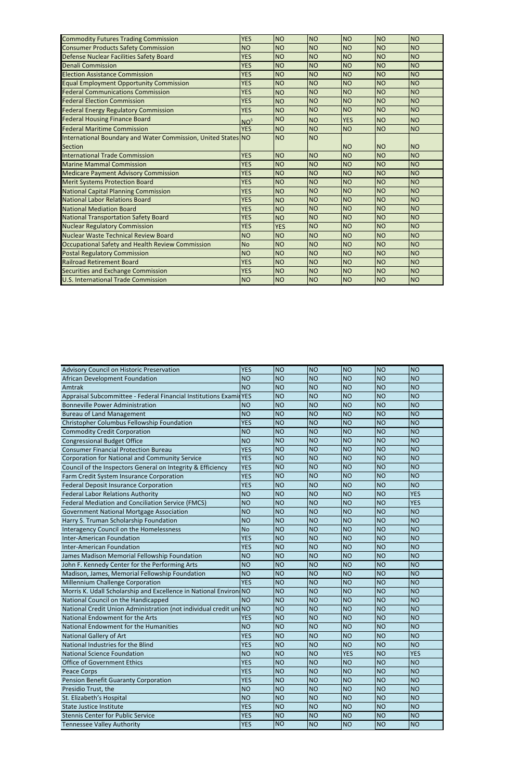| <b>Commodity Futures Trading Commission</b>                   | <b>YES</b>      | NO             | <b>NO</b> | <b>NO</b>      | N <sub>O</sub> | <b>NO</b> |
|---------------------------------------------------------------|-----------------|----------------|-----------|----------------|----------------|-----------|
| <b>Consumer Products Safety Commission</b>                    | <b>NO</b>       | <b>NO</b>      | <b>NO</b> | N <sub>O</sub> | <b>NO</b>      | <b>NO</b> |
| Defense Nuclear Facilities Safety Board                       | <b>YES</b>      | <b>NO</b>      | <b>NO</b> | NO             | <b>NO</b>      | <b>NO</b> |
| <b>Denali Commission</b>                                      | <b>YES</b>      | <b>NO</b>      | <b>NO</b> | N <sub>O</sub> | <b>NO</b>      | <b>NO</b> |
| <b>Election Assistance Commission</b>                         | <b>YES</b>      | <b>NO</b>      | <b>NO</b> | N <sub>O</sub> | <b>NO</b>      | <b>NO</b> |
| <b>Equal Employment Opportunity Commission</b>                | <b>YES</b>      | <b>NO</b>      | <b>NO</b> | NO             | <b>NO</b>      | <b>NO</b> |
| <b>Federal Communications Commission</b>                      | <b>YES</b>      | <b>NO</b>      | <b>NO</b> | N <sub>O</sub> | <b>NO</b>      | <b>NO</b> |
| <b>Federal Election Commission</b>                            | <b>YES</b>      | <b>NO</b>      | <b>NO</b> | N <sub>O</sub> | <b>NO</b>      | <b>NO</b> |
| <b>Federal Energy Regulatory Commission</b>                   | <b>YES</b>      | <b>NO</b>      | <b>NO</b> | NO             | <b>NO</b>      | <b>NO</b> |
| <b>Federal Housing Finance Board</b>                          | NO <sup>5</sup> | <b>NO</b>      | <b>NO</b> | <b>YES</b>     | <b>NO</b>      | <b>NO</b> |
| <b>Federal Maritime Commission</b>                            | <b>YES</b>      | <b>NO</b>      | <b>NO</b> | <b>NO</b>      | <b>NO</b>      | <b>NO</b> |
| International Boundary and Water Commission, United States NO |                 | <b>NO</b>      | <b>NO</b> |                |                |           |
| <b>Section</b>                                                |                 |                |           | N <sub>O</sub> | <b>NO</b>      | <b>NO</b> |
| <b>International Trade Commission</b>                         | <b>YES</b>      | <b>NO</b>      | <b>NO</b> | <b>NO</b>      | <b>NO</b>      | <b>NO</b> |
| <b>Marine Mammal Commission</b>                               | <b>YES</b>      | <b>NO</b>      | <b>NO</b> | N <sub>O</sub> | <b>NO</b>      | <b>NO</b> |
| <b>Medicare Payment Advisory Commission</b>                   | <b>YES</b>      | <b>NO</b>      | <b>NO</b> | N <sub>O</sub> | <b>NO</b>      | <b>NO</b> |
| <b>Merit Systems Protection Board</b>                         | <b>YES</b>      | <b>NO</b>      | <b>NO</b> | <b>NO</b>      | <b>NO</b>      | <b>NO</b> |
| <b>National Capital Planning Commission</b>                   | <b>YES</b>      | <b>NO</b>      | <b>NO</b> | <b>NO</b>      | <b>NO</b>      | <b>NO</b> |
| <b>National Labor Relations Board</b>                         | <b>YES</b>      | <b>NO</b>      | <b>NO</b> | N <sub>O</sub> | <b>NO</b>      | <b>NO</b> |
| <b>National Mediation Board</b>                               | <b>YES</b>      | <b>NO</b>      | <b>NO</b> | N <sub>O</sub> | <b>NO</b>      | <b>NO</b> |
| <b>National Transportation Safety Board</b>                   | <b>YES</b>      | <b>NO</b>      | <b>NO</b> | NO             | <b>NO</b>      | <b>NO</b> |
| <b>Nuclear Regulatory Commission</b>                          | <b>YES</b>      | <b>YES</b>     | <b>NO</b> | N <sub>O</sub> | <b>NO</b>      | <b>NO</b> |
| Nuclear Waste Technical Review Board                          | <b>NO</b>       | <b>NO</b>      | <b>NO</b> | N <sub>O</sub> | <b>NO</b>      | <b>NO</b> |
| Occupational Safety and Health Review Commission              | <b>No</b>       | <b>NO</b>      | <b>NO</b> | NO             | <b>NO</b>      | <b>NO</b> |
| <b>Postal Regulatory Commission</b>                           | <b>NO</b>       | <b>NO</b>      | <b>NO</b> | N <sub>O</sub> | <b>NO</b>      | <b>NO</b> |
| <b>Railroad Retirement Board</b>                              | <b>YES</b>      | <b>NO</b>      | <b>NO</b> | <b>NO</b>      | <b>NO</b>      | <b>NO</b> |
| Securities and Exchange Commission                            | <b>YES</b>      | <b>NO</b>      | <b>NO</b> | NO             | <b>NO</b>      | <b>NO</b> |
| <b>U.S. International Trade Commission</b>                    | <b>NO</b>       | N <sub>O</sub> | <b>NO</b> | N <sub>O</sub> | <b>NO</b>      | <b>NO</b> |

| Advisory Council on Historic Preservation                          | <b>YES</b> | N <sub>O</sub>  | <b>NO</b> | NO              | NO             | N <sub>O</sub> |
|--------------------------------------------------------------------|------------|-----------------|-----------|-----------------|----------------|----------------|
| African Development Foundation                                     | <b>NO</b>  | <b>NO</b>       | <b>NO</b> | <b>NO</b>       | <b>NO</b>      | <b>NO</b>      |
| Amtrak                                                             | <b>NO</b>  | <b>NO</b>       | <b>NO</b> | <b>NO</b>       | <b>NO</b>      | <b>NO</b>      |
| Appraisal Subcommittee - Federal Financial Institutions Examit YES |            | <b>NO</b>       | <b>NO</b> | <b>NO</b>       | <b>NO</b>      | <b>NO</b>      |
| <b>Bonneville Power Administration</b>                             | <b>NO</b>  | <b>NO</b>       | <b>NO</b> | <b>NO</b>       | N <sub>O</sub> | <b>NO</b>      |
| <b>Bureau of Land Management</b>                                   | <b>NO</b>  | <b>NO</b>       | <b>NO</b> | <b>NO</b>       | <b>NO</b>      | <b>NO</b>      |
| Christopher Columbus Fellowship Foundation                         | <b>YES</b> | <b>NO</b>       | <b>NO</b> | <b>NO</b>       | N <sub>O</sub> | <b>NO</b>      |
| <b>Commodity Credit Corporation</b>                                | <b>NO</b>  | <b>NO</b>       | <b>NO</b> | <b>NO</b>       | <b>NO</b>      | <b>NO</b>      |
| <b>Congressional Budget Office</b>                                 | <b>NO</b>  | <b>NO</b>       | <b>NO</b> | <b>NO</b>       | <b>NO</b>      | <b>NO</b>      |
| <b>Consumer Financial Protection Bureau</b>                        | <b>YES</b> | <b>NO</b>       | <b>NO</b> | <b>NO</b>       | <b>NO</b>      | <b>NO</b>      |
| Corporation for National and Community Service                     | <b>YES</b> | <b>NO</b>       | <b>NO</b> | <b>NO</b>       | N <sub>O</sub> | <b>NO</b>      |
| Council of the Inspectors General on Integrity & Efficiency        | <b>YES</b> | <b>NO</b>       | <b>NO</b> | <b>NO</b>       | <b>NO</b>      | <b>NO</b>      |
| Farm Credit System Insurance Corporation                           | <b>YES</b> | <b>NO</b>       | <b>NO</b> | <b>NO</b>       | <b>NO</b>      | <b>NO</b>      |
| <b>Federal Deposit Insurance Corporation</b>                       | <b>YES</b> | <b>NO</b>       | <b>NO</b> | <b>NO</b>       | <b>NO</b>      | N <sub>O</sub> |
| <b>Federal Labor Relations Authority</b>                           | <b>NO</b>  | <b>NO</b>       | <b>NO</b> | <b>NO</b>       | <b>NO</b>      | <b>YES</b>     |
| Federal Mediation and Conciliation Service (FMCS)                  | <b>NO</b>  | <b>NO</b>       | <b>NO</b> | <b>NO</b>       | <b>NO</b>      | <b>YES</b>     |
| <b>Government National Mortgage Association</b>                    | <b>NO</b>  | <b>NO</b>       | <b>NO</b> | <b>NO</b>       | <b>NO</b>      | <b>NO</b>      |
| Harry S. Truman Scholarship Foundation                             | <b>NO</b>  | <b>NO</b>       | <b>NO</b> | <b>NO</b>       | <b>NO</b>      | <b>NO</b>      |
| Interagency Council on the Homelessness                            | <b>No</b>  | <b>NO</b>       | <b>NO</b> | <b>NO</b>       | <b>NO</b>      | <b>NO</b>      |
| <b>Inter-American Foundation</b>                                   | <b>YES</b> | <b>NO</b>       | <b>NO</b> | <b>NO</b>       | <b>NO</b>      | <b>NO</b>      |
| <b>Inter-American Foundation</b>                                   | <b>YES</b> | <b>NO</b>       | <b>NO</b> | <b>NO</b>       | N <sub>O</sub> | <b>NO</b>      |
| James Madison Memorial Fellowship Foundation                       | <b>NO</b>  | <b>NO</b>       | <b>NO</b> | <b>NO</b>       | <b>NO</b>      | <b>NO</b>      |
| John F. Kennedy Center for the Performing Arts                     | <b>NO</b>  | <b>NO</b>       | <b>NO</b> | <b>NO</b>       | <b>NO</b>      | <b>NO</b>      |
| Madison, James, Memorial Fellowship Foundation                     | <b>NO</b>  | <b>NO</b>       | <b>NO</b> | <b>NO</b>       | N <sub>O</sub> | <b>NO</b>      |
| Millennium Challenge Corporation                                   | <b>YES</b> | <b>NO</b>       | <b>NO</b> | <b>NO</b>       | N <sub>O</sub> | <b>NO</b>      |
| Morris K. Udall Scholarship and Excellence in National Environ NO  |            | <b>NO</b>       | <b>NO</b> | <b>NO</b>       | N <sub>O</sub> | <b>NO</b>      |
| National Council on the Handicapped                                | <b>NO</b>  | <b>NO</b>       | <b>NO</b> | <b>NO</b>       | N <sub>O</sub> | <b>NO</b>      |
| National Credit Union Administration (not individual credit uni NO |            | <b>NO</b>       | <b>NO</b> | <b>NO</b>       | <b>NO</b>      | <b>NO</b>      |
| National Endowment for the Arts                                    | <b>YES</b> | <b>NO</b>       | <b>NO</b> | <b>NO</b>       | <b>NO</b>      | <b>NO</b>      |
| National Endowment for the Humanities                              | <b>NO</b>  | <b>NO</b>       | <b>NO</b> | <b>NO</b>       | N <sub>O</sub> | <b>NO</b>      |
| <b>National Gallery of Art</b>                                     | <b>YES</b> | <b>NO</b>       | <b>NO</b> | <b>NO</b>       | N <sub>O</sub> | <b>NO</b>      |
| National Industries for the Blind                                  | <b>YES</b> | <b>NO</b>       | <b>NO</b> | N <sub>O</sub>  | <b>NO</b>      | <b>NO</b>      |
| <b>National Science Foundation</b>                                 | NO         | NO <sub>1</sub> | NO        | <b>YES</b>      | NO             | <b>YES</b>     |
| <b>Office of Government Ethics</b>                                 | <b>YES</b> | NO <sub>1</sub> | <b>NO</b> | <b>NO</b>       | <b>NO</b>      | <b>NO</b>      |
| Peace Corps                                                        | <b>YES</b> | <b>NO</b>       | <b>NO</b> | NO              | <b>NO</b>      | <b>NO</b>      |
| Pension Benefit Guaranty Corporation                               | <b>YES</b> | <b>NO</b>       | <b>NO</b> | <b>NO</b>       | N <sub>O</sub> | N <sub>O</sub> |
| Presidio Trust, the                                                | <b>NO</b>  | NO <sub>1</sub> | <b>NO</b> | <b>NO</b>       | <b>NO</b>      | <b>NO</b>      |
| St. Elizabeth's Hospital                                           | <b>NO</b>  | NO <sub>1</sub> | <b>NO</b> | NO              | <b>NO</b>      | <b>NO</b>      |
| <b>State Justice Institute</b>                                     | <b>YES</b> | NO <sub>1</sub> | <b>NO</b> | NO <sub>1</sub> | <b>NO</b>      | N <sub>O</sub> |
| <b>Stennis Center for Public Service</b>                           | <b>YES</b> | <b>NO</b>       | <b>NO</b> | NO              | <b>NO</b>      | <b>NO</b>      |
| <b>Tennessee Valley Authority</b>                                  | <b>YES</b> | <b>NO</b>       | <b>NO</b> | <b>NO</b>       | <b>NO</b>      | <b>NO</b>      |